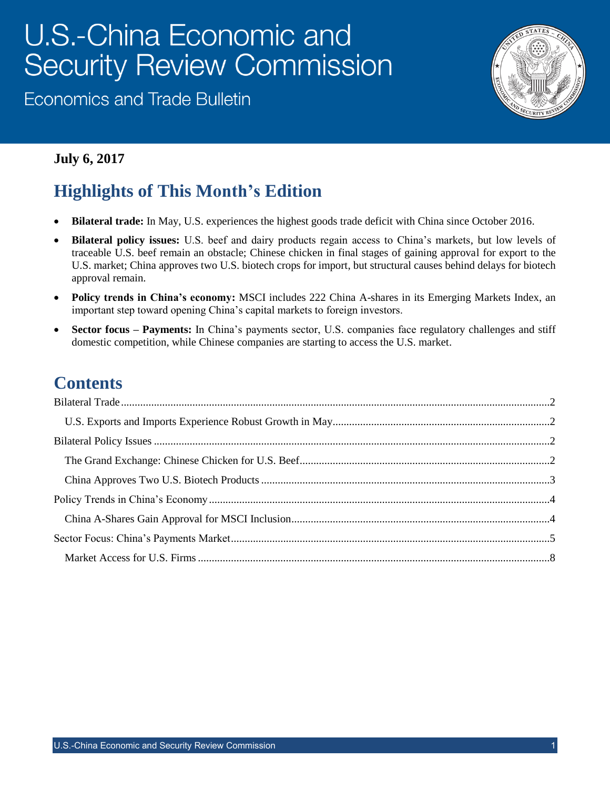# U.S.-China Economic and **Security Review Commission**

**Economics and Trade Bulletin** 



#### **July 6, 2017**

## **Highlights of This Month's Edition**

- **Bilateral trade:** In May, U.S. experiences the highest goods trade deficit with China since October 2016.
- **Bilateral policy issues:** U.S. beef and dairy products regain access to China's markets, but low levels of traceable U.S. beef remain an obstacle; Chinese chicken in final stages of gaining approval for export to the U.S. market; China approves two U.S. biotech crops for import, but structural causes behind delays for biotech approval remain.
- **Policy trends in China's economy:** MSCI includes 222 China A-shares in its Emerging Markets Index, an important step toward opening China's capital markets to foreign investors.
- **Sector focus – Payments:** In China's payments sector, U.S. companies face regulatory challenges and stiff domestic competition, while Chinese companies are starting to access the U.S. market.

### **Contents**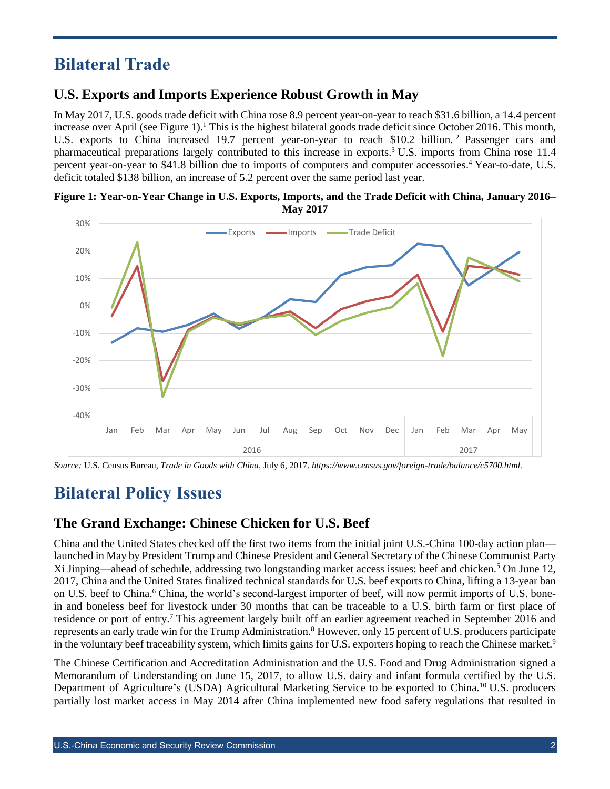### <span id="page-1-0"></span>**Bilateral Trade**

### <span id="page-1-1"></span>**U.S. Exports and Imports Experience Robust Growth in May**

In May 2017, U.S. goods trade deficit with China rose 8.9 percent year-on-year to reach \$31.6 billion, a 14.4 percent increase over April (see Figure 1).<sup>1</sup> This is the highest bilateral goods trade deficit since October 2016. This month, U.S. exports to China increased 19.7 percent year-on-year to reach \$10.2 billion.<sup>2</sup> Passenger cars and pharmaceutical preparations largely contributed to this increase in exports. <sup>3</sup> U.S. imports from China rose 11.4 percent year-on-year to \$41.8 billion due to imports of computers and computer accessories.<sup>4</sup> Year-to-date, U.S. deficit totaled \$138 billion, an increase of 5.2 percent over the same period last year.

#### **Figure 1: Year-on-Year Change in U.S. Exports, Imports, and the Trade Deficit with China, January 2016– May 2017**



<span id="page-1-2"></span>*Source:* U.S. Census Bureau, *Trade in Goods with China*, July 6, 2017. *https://www.census.gov/foreign-trade/balance/c5700.html.*

## **Bilateral Policy Issues**

#### <span id="page-1-3"></span>**The Grand Exchange: Chinese Chicken for U.S. Beef**

China and the United States checked off the first two items from the initial joint U.S.-China 100-day action plan launched in May by President Trump and Chinese President and General Secretary of the Chinese Communist Party Xi Jinping—ahead of schedule, addressing two longstanding market access issues: beef and chicken.<sup>5</sup> On June 12, 2017, China and the United States finalized technical standards for U.S. beef exports to China, lifting a 13-year ban on U.S. beef to China. <sup>6</sup> China, the world's second-largest importer of beef, will now permit imports of U.S. bonein and boneless beef for livestock under 30 months that can be traceable to a U.S. birth farm or first place of residence or port of entry.<sup>7</sup> This agreement largely built off an earlier agreement reached in September 2016 and represents an early trade win for the Trump Administration.<sup>8</sup> However, only 15 percent of U.S. producers participate in the voluntary beef traceability system, which limits gains for U.S. exporters hoping to reach the Chinese market.<sup>9</sup>

The Chinese Certification and Accreditation Administration and the U.S. Food and Drug Administration signed a Memorandum of Understanding on June 15, 2017, to allow U.S. dairy and infant formula certified by the U.S. Department of Agriculture's (USDA) Agricultural Marketing Service to be exported to China.<sup>10</sup> U.S. producers partially lost market access in May 2014 after China implemented new food safety regulations that resulted in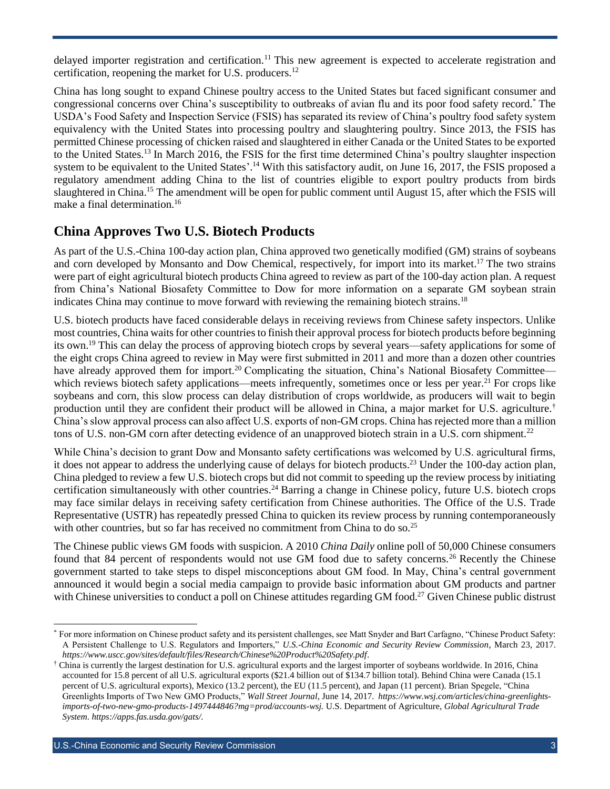delayed importer registration and certification.<sup>11</sup> This new agreement is expected to accelerate registration and certification, reopening the market for U.S. producers.<sup>12</sup>

China has long sought to expand Chinese poultry access to the United States but faced significant consumer and congressional concerns over China's susceptibility to outbreaks of avian flu and its poor food safety record.\* The USDA's Food Safety and Inspection Service (FSIS) has separated its review of China's poultry food safety system equivalency with the United States into processing poultry and slaughtering poultry. Since 2013, the FSIS has permitted Chinese processing of chicken raised and slaughtered in either Canada or the United States to be exported to the United States.<sup>13</sup> In March 2016, the FSIS for the first time determined China's poultry slaughter inspection system to be equivalent to the United States'.<sup>14</sup> With this satisfactory audit, on June 16, 2017, the FSIS proposed a regulatory amendment adding China to the list of countries eligible to export poultry products from birds slaughtered in China.<sup>15</sup> The amendment will be open for public comment until August 15, after which the FSIS will make a final determination.<sup>16</sup>

#### <span id="page-2-0"></span>**China Approves Two U.S. Biotech Products**

As part of the U.S.-China 100-day action plan, China approved two genetically modified (GM) strains of soybeans and corn developed by Monsanto and Dow Chemical, respectively, for import into its market.<sup>17</sup> The two strains were part of eight agricultural biotech products China agreed to review as part of the 100-day action plan. A request from China's National Biosafety Committee to Dow for more information on a separate GM soybean strain indicates China may continue to move forward with reviewing the remaining biotech strains.<sup>18</sup>

U.S. biotech products have faced considerable delays in receiving reviews from Chinese safety inspectors. Unlike most countries, China waits for other countries to finish their approval process for biotech products before beginning its own.<sup>19</sup> This can delay the process of approving biotech crops by several years—safety applications for some of the eight crops China agreed to review in May were first submitted in 2011 and more than a dozen other countries have already approved them for import.<sup>20</sup> Complicating the situation, China's National Biosafety Committee which reviews biotech safety applications—meets infrequently, sometimes once or less per year.<sup>21</sup> For crops like soybeans and corn, this slow process can delay distribution of crops worldwide, as producers will wait to begin production until they are confident their product will be allowed in China, a major market for U.S. agriculture.† China's slow approval process can also affect U.S. exports of non-GM crops. China has rejected more than a million tons of U.S. non-GM corn after detecting evidence of an unapproved biotech strain in a U.S. corn shipment.<sup>22</sup>

While China's decision to grant Dow and Monsanto safety certifications was welcomed by U.S. agricultural firms, it does not appear to address the underlying cause of delays for biotech products.<sup>23</sup> Under the 100-day action plan, China pledged to review a few U.S. biotech crops but did not commit to speeding up the review process by initiating certification simultaneously with other countries.<sup>24</sup> Barring a change in Chinese policy, future U.S. biotech crops may face similar delays in receiving safety certification from Chinese authorities. The Office of the U.S. Trade Representative (USTR) has repeatedly pressed China to quicken its review process by running contemporaneously with other countries, but so far has received no commitment from China to do so.<sup>25</sup>

The Chinese public views GM foods with suspicion. A 2010 *China Daily* online poll of 50,000 Chinese consumers found that 84 percent of respondents would not use GM food due to safety concerns.<sup>26</sup> Recently the Chinese government started to take steps to dispel misconceptions about GM food. In May, China's central government announced it would begin a social media campaign to provide basic information about GM products and partner with Chinese universities to conduct a poll on Chinese attitudes regarding GM food.<sup>27</sup> Given Chinese public distrust

<sup>\*</sup> For more information on Chinese product safety and its persistent challenges, see Matt Snyder and Bart Carfagno, "Chinese Product Safety: A Persistent Challenge to U.S. Regulators and Importers," *U.S.-China Economic and Security Review Commission*, March 23, 2017. *<https://www.uscc.gov/sites/default/files/Research/Chinese%20Product%20Safety.pdf>*.

<sup>†</sup> China is currently the largest destination for U.S. agricultural exports and the largest importer of soybeans worldwide. In 2016, China accounted for 15.8 percent of all U.S. agricultural exports (\$21.4 billion out of \$134.7 billion total). Behind China were Canada (15.1 percent of U.S. agricultural exports), Mexico (13.2 percent), the EU (11.5 percent), and Japan (11 percent). Brian Spegele, "China Greenlights Imports of Two New GMO Products," *Wall Street Journal*, June 14, 2017. *[https://www.wsj.com/articles/china-greenlights](https://www.wsj.com/articles/china-greenlights-imports-of-two-new-gmo-products-1497444846?mg=prod/accounts-wsj.United)[imports-of-two-new-gmo-products-1497444846?mg=prod/accounts-wsj.](https://www.wsj.com/articles/china-greenlights-imports-of-two-new-gmo-products-1497444846?mg=prod/accounts-wsj.United)* U.S. Department of Agriculture, *Global Agricultural Trade System*. *https://apps.fas.usda.gov/gats/.*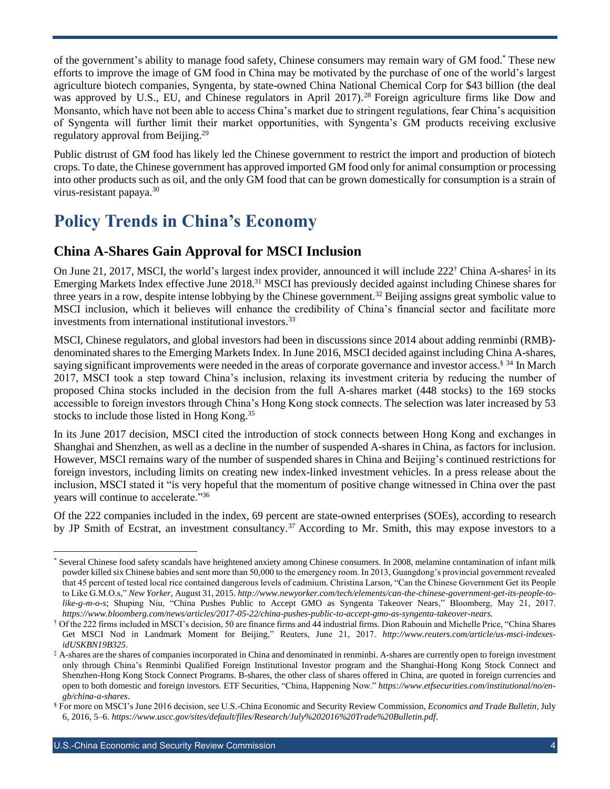of the government's ability to manage food safety, Chinese consumers may remain wary of GM food.\* These new efforts to improve the image of GM food in China may be motivated by the purchase of one of the world's largest agriculture biotech companies, Syngenta, by state-owned China National Chemical Corp for \$43 billion (the deal was approved by U.S., EU, and Chinese regulators in April 2017).<sup>28</sup> Foreign agriculture firms like Dow and Monsanto, which have not been able to access China's market due to stringent regulations, fear China's acquisition of Syngenta will further limit their market opportunities, with Syngenta's GM products receiving exclusive regulatory approval from Beijing.<sup>29</sup>

Public distrust of GM food has likely led the Chinese government to restrict the import and production of biotech crops. To date, the Chinese government has approved imported GM food only for animal consumption or processing into other products such as oil, and the only GM food that can be grown domestically for consumption is a strain of virus-resistant papaya.<sup>30</sup>

### <span id="page-3-0"></span>**Policy Trends in China's Economy**

### <span id="page-3-1"></span>**China A-Shares Gain Approval for MSCI Inclusion**

On June 21, 2017, MSCI, the world's largest index provider, announced it will include 222<sup>†</sup> China A-shares<sup>‡</sup> in its Emerging Markets Index effective June 2018.<sup>31</sup> MSCI has previously decided against including Chinese shares for three years in a row, despite intense lobbying by the Chinese government.<sup>32</sup> Beijing assigns great symbolic value to MSCI inclusion, which it believes will enhance the credibility of China's financial sector and facilitate more investments from international institutional investors.<sup>33</sup>

MSCI, Chinese regulators, and global investors had been in discussions since 2014 about adding renminbi (RMB) denominated shares to the Emerging Markets Index. In June 2016, MSCI decided against including China A-shares, saying significant improvements were needed in the areas of corporate governance and investor access.<sup>§ 34</sup> In March 2017, MSCI took a step toward China's inclusion, relaxing its investment criteria by reducing the number of proposed China stocks included in the decision from the full A-shares market (448 stocks) to the 169 stocks accessible to foreign investors through China's Hong Kong stock connects. The selection was later increased by 53 stocks to include those listed in Hong Kong.<sup>35</sup>

In its June 2017 decision, MSCI cited the introduction of stock connects between Hong Kong and exchanges in Shanghai and Shenzhen, as well as a decline in the number of suspended A-shares in China, as factors for inclusion. However, MSCI remains wary of the number of suspended shares in China and Beijing's continued restrictions for foreign investors, including limits on creating new index-linked investment vehicles. In a press release about the inclusion, MSCI stated it "is very hopeful that the momentum of positive change witnessed in China over the past years will continue to accelerate."<sup>36</sup>

Of the 222 companies included in the index, 69 percent are state-owned enterprises (SOEs), according to research by JP Smith of Ecstrat, an investment consultancy.<sup>37</sup> According to Mr. Smith, this may expose investors to a

l Several Chinese food safety scandals have heightened anxiety among Chinese consumers. In 2008, melamine contamination of infant milk powder killed six Chinese babies and sent more than 50,000 to the emergency room. In 2013, Guangdong's provincial government revealed that 45 percent of tested local rice contained dangerous levels of cadmium. Christina Larson, "Can the Chinese Government Get its People to Like G.M.O.s," *New Yorker*, August 31, 2015. *[http://www.newyorker.com/tech/elements/can-the-chinese-government-get-its-people-to](http://www.newyorker.com/tech/elements/can-the-chinese-government-get-its-people-to-like-g-m-o-s)[like-g-m-o-s](http://www.newyorker.com/tech/elements/can-the-chinese-government-get-its-people-to-like-g-m-o-s)*; Shuping Niu, "China Pushes Public to Accept GMO as Syngenta Takeover Nears," Bloomberg, May 21, 2017. *https://www.bloomberg.com/news/articles/2017-05-22/china-pushes-public-to-accept-gmo-as-syngenta-takeover-nears.*

<sup>†</sup> Of the 222 firms included in MSCI's decision, 50 are finance firms and 44 industrial firms. Dion Rabouin and Michelle Price, "China Shares Get MSCI Nod in Landmark Moment for Beijing," Reuters, June 21, 2017. *[http://www.reuters.com/article/us-msci-indexes](http://www.reuters.com/article/us-msci-indexes-idUSKBN19B325)[idUSKBN19B325](http://www.reuters.com/article/us-msci-indexes-idUSKBN19B325)*.

<sup>‡</sup> A-shares are the shares of companies incorporated in China and denominated in renminbi. A-shares are currently open to foreign investment only through China's Renminbi Qualified Foreign Institutional Investor program and the Shanghai-Hong Kong Stock Connect and Shenzhen-Hong Kong Stock Connect Programs. B-shares, the other class of shares offered in China, are quoted in foreign currencies and open to both domestic and foreign investors. ETF Securities, "China, Happening Now." *[https://www.etfsecurities.com/institutional/no/en](https://www.etfsecurities.com/institutional/no/en-gb/china-a-shares)[gb/china-a-shares](https://www.etfsecurities.com/institutional/no/en-gb/china-a-shares)*.

<sup>§</sup> For more on MSCI's June 2016 decision, see U.S.-China Economic and Security Review Commission, *Economics and Trade Bulletin*, July 6, 2016, 5–6. *<https://www.uscc.gov/sites/default/files/Research/July%202016%20Trade%20Bulletin.pdf>*.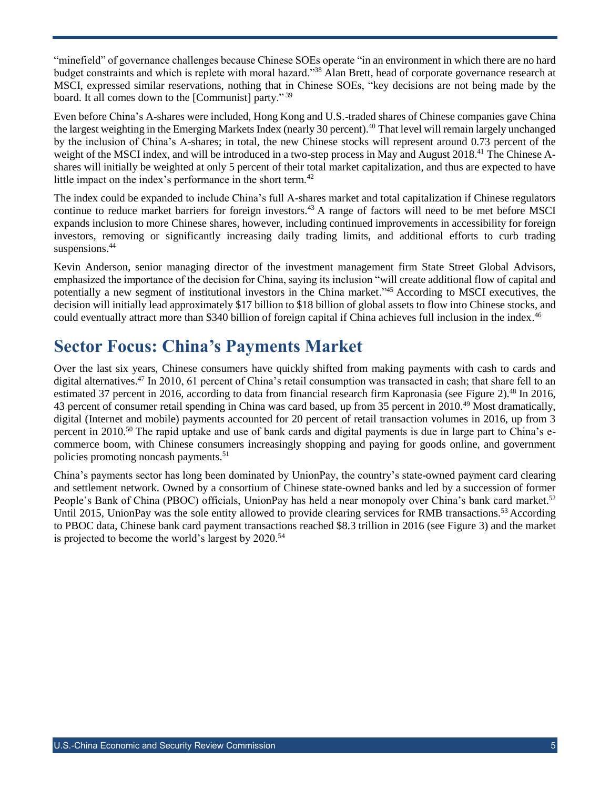"minefield" of governance challenges because Chinese SOEs operate "in an environment in which there are no hard budget constraints and which is replete with moral hazard."<sup>38</sup> Alan Brett, head of corporate governance research at MSCI, expressed similar reservations, nothing that in Chinese SOEs, "key decisions are not being made by the board. It all comes down to the [Communist] party." <sup>39</sup>

Even before China's A-shares were included, Hong Kong and U.S.-traded shares of Chinese companies gave China the largest weighting in the Emerging Markets Index (nearly 30 percent). <sup>40</sup> That level will remain largely unchanged by the inclusion of China's A-shares; in total, the new Chinese stocks will represent around 0.73 percent of the weight of the MSCI index, and will be introduced in a two-step process in May and August 2018.<sup>41</sup> The Chinese Ashares will initially be weighted at only 5 percent of their total market capitalization, and thus are expected to have little impact on the index's performance in the short term.<sup>42</sup>

The index could be expanded to include China's full A-shares market and total capitalization if Chinese regulators continue to reduce market barriers for foreign investors.<sup>43</sup> A range of factors will need to be met before MSCI expands inclusion to more Chinese shares, however, including continued improvements in accessibility for foreign investors, removing or significantly increasing daily trading limits, and additional efforts to curb trading suspensions. 44

Kevin Anderson, senior managing director of the investment management firm State Street Global Advisors, emphasized the importance of the decision for China, saying its inclusion "will create additional flow of capital and potentially a new segment of institutional investors in the China market."<sup>45</sup> According to MSCI executives, the decision will initially lead approximately \$17 billion to \$18 billion of global assets to flow into Chinese stocks, and could eventually attract more than \$340 billion of foreign capital if China achieves full inclusion in the index. 46

### <span id="page-4-0"></span>**Sector Focus: China's Payments Market**

Over the last six years, Chinese consumers have quickly shifted from making payments with cash to cards and digital alternatives.<sup>47</sup> In 2010, 61 percent of China's retail consumption was transacted in cash; that share fell to an estimated 37 percent in 2016, according to data from financial research firm Kapronasia (see Figure 2).<sup>48</sup> In 2016, 43 percent of consumer retail spending in China was card based, up from 35 percent in 2010.<sup>49</sup> Most dramatically, digital (Internet and mobile) payments accounted for 20 percent of retail transaction volumes in 2016, up from 3 percent in 2010.<sup>50</sup> The rapid uptake and use of bank cards and digital payments is due in large part to China's ecommerce boom, with Chinese consumers increasingly shopping and paying for goods online, and government policies promoting noncash payments.<sup>51</sup>

China's payments sector has long been dominated by UnionPay, the country's state-owned payment card clearing and settlement network. Owned by a consortium of Chinese state-owned banks and led by a succession of former People's Bank of China (PBOC) officials, UnionPay has held a near monopoly over China's bank card market.<sup>52</sup> Until 2015, UnionPay was the sole entity allowed to provide clearing services for RMB transactions.<sup>53</sup> According to PBOC data, Chinese bank card payment transactions reached \$8.3 trillion in 2016 (see Figure 3) and the market is projected to become the world's largest by 2020.<sup>54</sup>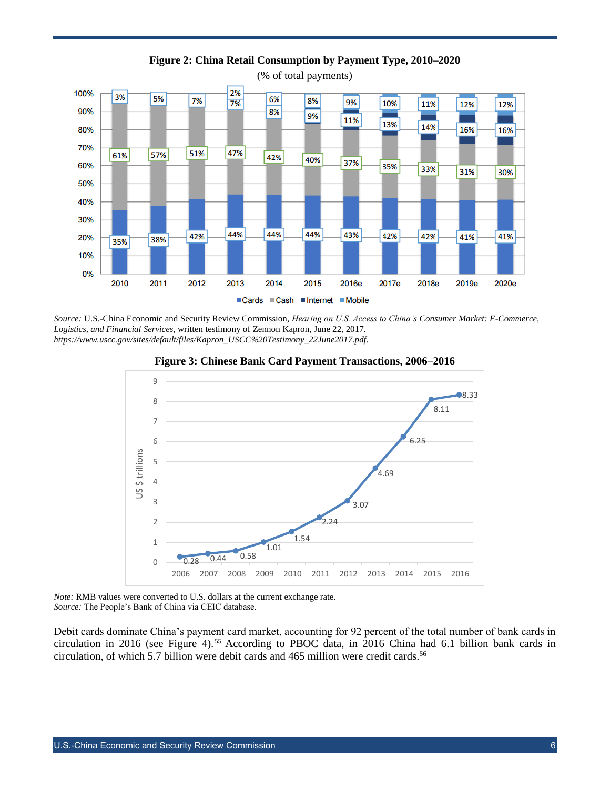

**Figure 2: China Retail Consumption by Payment Type, 2010–2020**

(% of total payments)

*Source:* U.S.-China Economic and Security Review Commission, *Hearing on U.S. Access to China's Consumer Market: E-Commerce, Logistics, and Financial Services*, written testimony of Zennon Kapron, June 22, 2017. *[https://www.uscc.gov/sites/default/files/Kapron\\_USCC%20Testimony\\_22June2017.pdf](https://www.uscc.gov/sites/default/files/Kapron_USCC%20Testimony_22June2017.pdf)*.





*Note:* RMB values were converted to U.S. dollars at the current exchange rate. *Source:* The People's Bank of China via CEIC database.

Debit cards dominate China's payment card market, accounting for 92 percent of the total number of bank cards in circulation in 2016 (see Figure 4).<sup>55</sup> According to PBOC data, in 2016 China had 6.1 billion bank cards in circulation, of which 5.7 billion were debit cards and 465 million were credit cards.<sup>56</sup>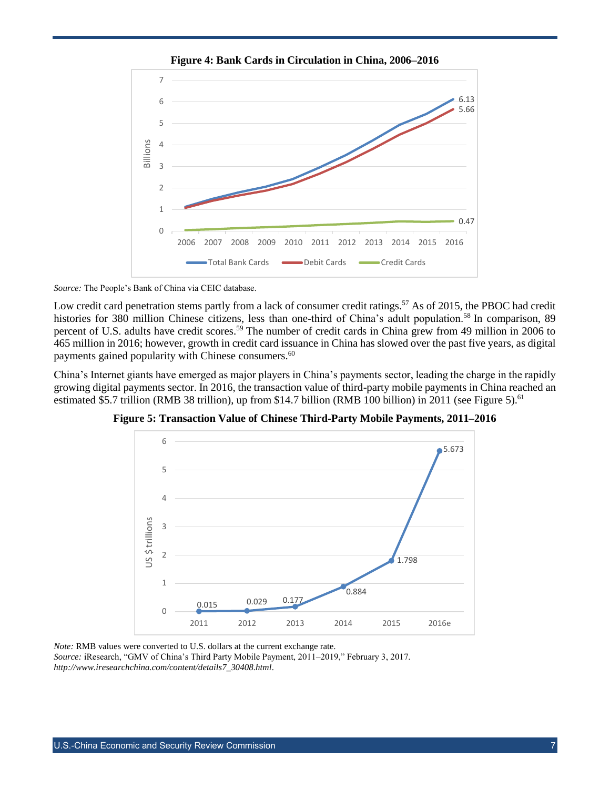

**Figure 4: Bank Cards in Circulation in China, 2006–2016**

*Source:* The People's Bank of China via CEIC database.

Low credit card penetration stems partly from a lack of consumer credit ratings.<sup>57</sup> As of 2015, the PBOC had credit histories for 380 million Chinese citizens, less than one-third of China's adult population.<sup>58</sup> In comparison, 89 percent of U.S. adults have credit scores.<sup>59</sup> The number of credit cards in China grew from 49 million in 2006 to 465 million in 2016; however, growth in credit card issuance in China has slowed over the past five years, as digital payments gained popularity with Chinese consumers.<sup>60</sup>

China's Internet giants have emerged as major players in China's payments sector, leading the charge in the rapidly growing digital payments sector. In 2016, the transaction value of third-party mobile payments in China reached an estimated \$5.7 trillion (RMB 38 trillion), up from \$14.7 billion (RMB 100 billion) in 2011 (see Figure 5).<sup>61</sup>

6 5.673 5  $\overline{A}$ JS \$ trillions US \$ trillions3 2 1.798 1 0.884 0.015 0.029 0.177  $\Omega$ 2011 2012 2013 2014 2015 2016e

**Figure 5: Transaction Value of Chinese Third-Party Mobile Payments, 2011–2016**

*Note:* RMB values were converted to U.S. dollars at the current exchange rate. *Source:* iResearch, "GMV of China's Third Party Mobile Payment, 2011–2019," February 3, 2017. *[http://www.iresearchchina.com/content/details7\\_30408.html](http://www.iresearchchina.com/content/details7_30408.html)*.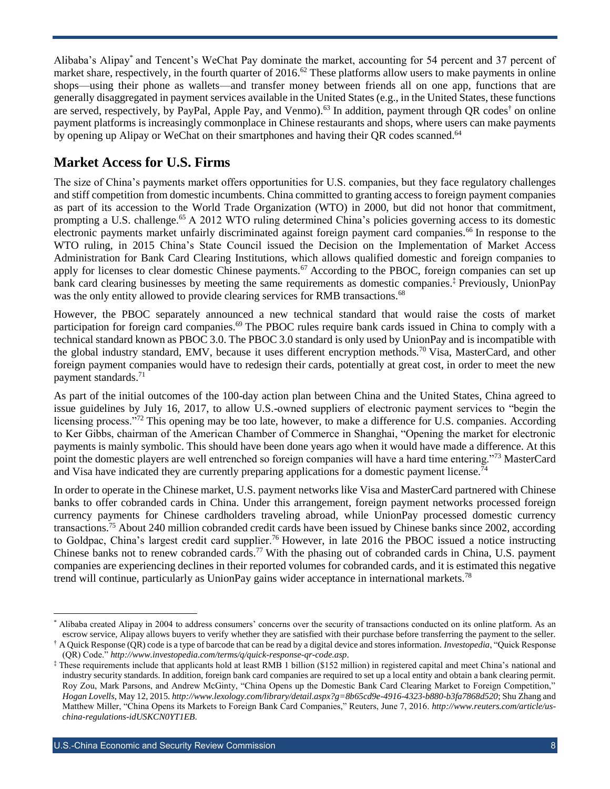Alibaba's Alipay\* and Tencent's WeChat Pay dominate the market, accounting for 54 percent and 37 percent of market share, respectively, in the fourth quarter of 2016.<sup>62</sup> These platforms allow users to make payments in online shops—using their phone as wallets—and transfer money between friends all on one app, functions that are generally disaggregated in payment services available in the United States (e.g., in the United States, these functions are served, respectively, by PayPal, Apple Pay, and Venmo).<sup>63</sup> In addition, payment through QR codes<sup>†</sup> on online payment platforms is increasingly commonplace in Chinese restaurants and shops, where users can make payments by opening up Alipay or WeChat on their smartphones and having their QR codes scanned.<sup>64</sup>

#### <span id="page-7-0"></span>**Market Access for U.S. Firms**

The size of China's payments market offers opportunities for U.S. companies, but they face regulatory challenges and stiff competition from domestic incumbents. China committed to granting access to foreign payment companies as part of its accession to the World Trade Organization (WTO) in 2000, but did not honor that commitment, prompting a U.S. challenge.<sup>65</sup> A 2012 WTO ruling determined China's policies governing access to its domestic electronic payments market unfairly discriminated against foreign payment card companies.<sup>66</sup> In response to the WTO ruling, in 2015 China's State Council issued the Decision on the Implementation of Market Access Administration for Bank Card Clearing Institutions, which allows qualified domestic and foreign companies to apply for licenses to clear domestic Chinese payments.<sup>67</sup> According to the PBOC, foreign companies can set up bank card clearing businesses by meeting the same requirements as domestic companies.‡ Previously, UnionPay was the only entity allowed to provide clearing services for RMB transactions.<sup>68</sup>

However, the PBOC separately announced a new technical standard that would raise the costs of market participation for foreign card companies.<sup>69</sup> The PBOC rules require bank cards issued in China to comply with a technical standard known as PBOC 3.0. The PBOC 3.0 standard is only used by UnionPay and is incompatible with the global industry standard, EMV, because it uses different encryption methods.<sup>70</sup> Visa, MasterCard, and other foreign payment companies would have to redesign their cards, potentially at great cost, in order to meet the new payment standards.<sup>71</sup>

As part of the initial outcomes of the 100-day action plan between China and the United States, China agreed to issue guidelines by July 16, 2017, to allow U.S.-owned suppliers of electronic payment services to "begin the licensing process."<sup>72</sup> This opening may be too late, however, to make a difference for U.S. companies. According to Ker Gibbs, chairman of the American Chamber of Commerce in Shanghai, "Opening the market for electronic payments is mainly symbolic. This should have been done years ago when it would have made a difference. At this point the domestic players are well entrenched so foreign companies will have a hard time entering."<sup>73</sup> MasterCard and Visa have indicated they are currently preparing applications for a domestic payment license.<sup>74</sup>

In order to operate in the Chinese market, U.S. payment networks like Visa and MasterCard partnered with Chinese banks to offer cobranded cards in China. Under this arrangement, foreign payment networks processed foreign currency payments for Chinese cardholders traveling abroad, while UnionPay processed domestic currency transactions.<sup>75</sup> About 240 million cobranded credit cards have been issued by Chinese banks since 2002, according to Goldpac, China's largest credit card supplier.<sup>76</sup> However, in late 2016 the PBOC issued a notice instructing Chinese banks not to renew cobranded cards.<sup>77</sup> With the phasing out of cobranded cards in China, U.S. payment companies are experiencing declines in their reported volumes for cobranded cards, and it is estimated this negative trend will continue, particularly as UnionPay gains wider acceptance in international markets.<sup>78</sup>

l Alibaba created Alipay in 2004 to address consumers' concerns over the security of transactions conducted on its online platform. As an escrow service, Alipay allows buyers to verify whether they are satisfied with their purchase before transferring the payment to the seller.

<sup>†</sup> A Quick Response (QR) code is a type of barcode that can be read by a digital device and stores information. *Investopedia*, "Quick Response (QR) Code." *<http://www.investopedia.com/terms/q/quick-response-qr-code.asp>*.

<sup>‡</sup> These requirements include that applicants hold at least RMB 1 billion (\$152 million) in registered capital and meet China's national and industry security standards. In addition, foreign bank card companies are required to set up a local entity and obtain a bank clearing permit. Roy Zou, Mark Parsons, and Andrew McGinty, "China Opens up the Domestic Bank Card Clearing Market to Foreign Competition," *Hogan Lovells*, May 12, 2015. *<http://www.lexology.com/library/detail.aspx?g=8b65cd9e-4916-4323-b880-b3fa7868d520>*; Shu Zhang and Matthew Miller, "China Opens its Markets to Foreign Bank Card Companies," Reuters, June 7, 2016. *[http://www.reuters.com/article/us](http://www.reuters.com/article/us-china-regulations-idUSKCN0YT1EB)[china-regulations-idUSKCN0YT1EB](http://www.reuters.com/article/us-china-regulations-idUSKCN0YT1EB)*.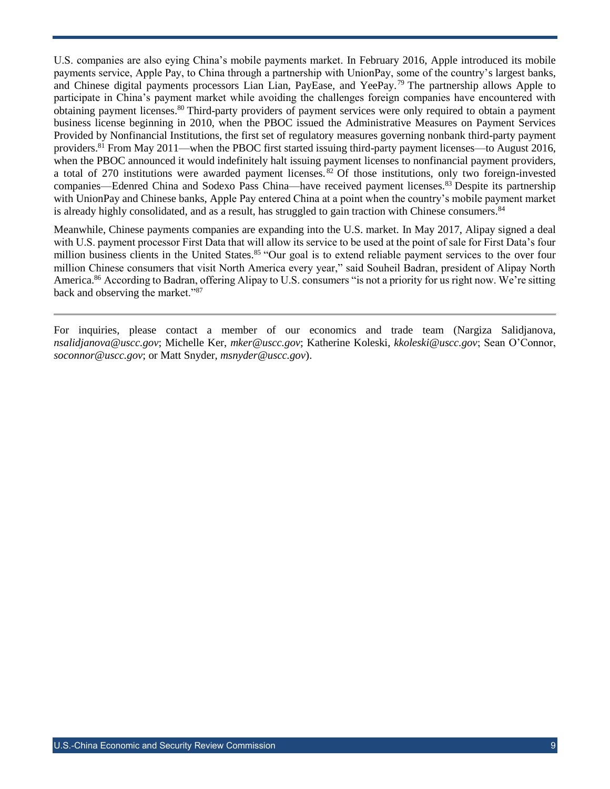U.S. companies are also eying China's mobile payments market. In February 2016, Apple introduced its mobile payments service, Apple Pay, to China through a partnership with UnionPay, some of the country's largest banks, and Chinese digital payments processors Lian Lian, PayEase, and YeePay.<sup>79</sup> The partnership allows Apple to participate in China's payment market while avoiding the challenges foreign companies have encountered with obtaining payment licenses. <sup>80</sup> Third-party providers of payment services were only required to obtain a payment business license beginning in 2010, when the PBOC issued the Administrative Measures on Payment Services Provided by Nonfinancial Institutions, the first set of regulatory measures governing nonbank third-party payment providers.<sup>81</sup> From May 2011—when the PBOC first started issuing third-party payment licenses—to August 2016, when the PBOC announced it would indefinitely halt issuing payment licenses to nonfinancial payment providers, a total of 270 institutions were awarded payment licenses. <sup>82</sup> Of those institutions, only two foreign-invested companies—Edenred China and Sodexo Pass China—have received payment licenses.<sup>83</sup> Despite its partnership with UnionPay and Chinese banks, Apple Pay entered China at a point when the country's mobile payment market is already highly consolidated, and as a result, has struggled to gain traction with Chinese consumers.<sup>84</sup>

Meanwhile, Chinese payments companies are expanding into the U.S. market. In May 2017, Alipay signed a deal with U.S. payment processor First Data that will allow its service to be used at the point of sale for First Data's four million business clients in the United States.<sup>85</sup> "Our goal is to extend reliable payment services to the over four million Chinese consumers that visit North America every year," said Souheil Badran, president of Alipay North America.<sup>86</sup> According to Badran, offering Alipay to U.S. consumers "is not a priority for us right now. We're sitting back and observing the market."<sup>87</sup>

For inquiries, please contact a member of our economics and trade team (Nargiza Salidjanova, *[nsalidjanova@uscc.gov](mailto:nsalidjanova@uscc.gov)*; Michelle Ker, *[mker@uscc.gov](mailto:mker@uscc.gov)*; Katherine Koleski, *[kkoleski@uscc.gov](mailto:kkoleski@uscc.gov)*; Sean O'Connor, *[soconnor@uscc.gov](mailto:soconnor@uscc.gov)*; or Matt Snyder, *[msnyder@uscc.gov](mailto:msnyder@uscc.gov)*).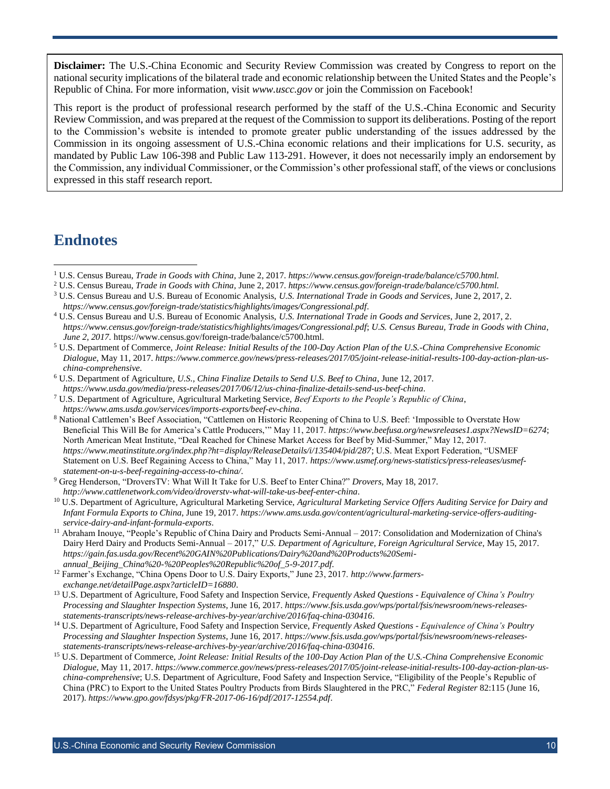**Disclaimer:** The U.S.-China Economic and Security Review Commission was created by Congress to report on the national security implications of the bilateral trade and economic relationship between the United States and the People's Republic of China. For more information, visit *[www.uscc.gov](http://www.uscc.gov/)* or join the Commission on Facebook!

This report is the product of professional research performed by the staff of the U.S.-China Economic and Security Review Commission, and was prepared at the request of the Commission to support its deliberations. Posting of the report to the Commission's website is intended to promote greater public understanding of the issues addressed by the Commission in its ongoing assessment of U.S.-China economic relations and their implications for U.S. security, as mandated by Public Law 106-398 and Public Law 113-291. However, it does not necessarily imply an endorsement by the Commission, any individual Commissioner, or the Commission's other professional staff, of the views or conclusions expressed in this staff research report.

### **Endnotes**

 $\overline{a}$ 

<sup>2</sup> U.S. Census Bureau, *Trade in Goods with China,* June 2, 2017. *https://www.census.gov/foreign-trade/balance/c5700.html.*

<sup>1</sup> U.S. Census Bureau, *Trade in Goods with China,* June 2, 2017. *https://www.census.gov/foreign-trade/balance/c5700.html.*

<sup>3</sup> U.S. Census Bureau and U.S. Bureau of Economic Analysis, *U.S. International Trade in Goods and Services*, June 2, 2017, 2. *<https://www.census.gov/foreign-trade/statistics/highlights/images/Congressional.pdf>*.

<sup>4</sup> U.S. Census Bureau and U.S. Bureau of Economic Analysis, *U.S. International Trade in Goods and Services*, June 2, 2017, 2. *<https://www.census.gov/foreign-trade/statistics/highlights/images/Congressional.pdf>*; *U.S. Census Bureau, Trade in Goods with China*, *June 2, 2017.* https://www.census.gov/foreign-trade/balance/c5700.html.

<sup>5</sup> U.S. Department of Commerce, *Joint Release: Initial Results of the 100-Day Action Plan of the U.S.-China Comprehensive Economic Dialogue*, May 11, 2017. *[https://www.commerce.gov/news/press-releases/2017/05/joint-release-initial-results-100-day-action-plan-us](https://www.commerce.gov/news/press-releases/2017/05/joint-release-initial-results-100-day-action-plan-us-china-comprehensive)[china-comprehensive](https://www.commerce.gov/news/press-releases/2017/05/joint-release-initial-results-100-day-action-plan-us-china-comprehensive)*.

<sup>6</sup> U.S. Department of Agriculture, *U.S., China Finalize Details to Send U.S. Beef to China*, June 12, 2017. *<https://www.usda.gov/media/press-releases/2017/06/12/us-china-finalize-details-send-us-beef-china>*.

<sup>7</sup> U.S. Department of Agriculture, Agricultural Marketing Service, *Beef Exports to the People's Republic of China*, *<https://www.ams.usda.gov/services/imports-exports/beef-ev-china>*.

<sup>8</sup> National Cattlemen's Beef Association, "Cattlemen on Historic Reopening of China to U.S. Beef: 'Impossible to Overstate How Beneficial This Will Be for America's Cattle Producers,'" May 11, 2017. *<https://www.beefusa.org/newsreleases1.aspx?NewsID=6274>*; North American Meat Institute, "Deal Reached for Chinese Market Access for Beef by Mid-Summer," May 12, 2017. *<https://www.meatinstitute.org/index.php?ht=display/ReleaseDetails/i/135404/pid/287>*; U.S. Meat Export Federation, "USMEF Statement on U.S. Beef Regaining Access to China," May 11, 2017. *[https://www.usmef.org/news-statistics/press-releases/usmef](https://www.usmef.org/news-statistics/press-releases/usmef-statement-on-u-s-beef-regaining-access-to-china/)[statement-on-u-s-beef-regaining-access-to-china/](https://www.usmef.org/news-statistics/press-releases/usmef-statement-on-u-s-beef-regaining-access-to-china/)*.

<sup>9</sup> Greg Henderson, "DroversTV: What Will It Take for U.S. Beef to Enter China?" *Drovers*, May 18, 2017. *<http://www.cattlenetwork.com/video/droverstv-what-will-take-us-beef-enter-china>*.

<sup>10</sup> U.S. Department of Agriculture, Agricultural Marketing Service, *Agricultural Marketing Service Offers Auditing Service for Dairy and Infant Formula Exports to China*, June 19, 2017. *[https://www.ams.usda.gov/content/agricultural-marketing-service-offers-auditing](https://www.ams.usda.gov/content/agricultural-marketing-service-offers-auditing-service-dairy-and-infant-formula-exports)[service-dairy-and-infant-formula-exports](https://www.ams.usda.gov/content/agricultural-marketing-service-offers-auditing-service-dairy-and-infant-formula-exports)*.

<sup>11</sup> Abraham Inouye, "People's Republic of China Dairy and Products Semi-Annual – 2017: Consolidation and Modernization of China's Dairy Herd Dairy and Products Semi-Annual – 2017," *U.S. Department of Agriculture, Foreign Agricultural Service*, May 15, 2017. *[https://gain.fas.usda.gov/Recent%20GAIN%20Publications/Dairy%20and%20Products%20Semi](https://gain.fas.usda.gov/Recent%20GAIN%20Publications/Dairy%20and%20Products%20Semi-annual_Beijing_China%20-%20Peoples%20Republic%20of_5-9-2017.pdf)[annual\\_Beijing\\_China%20-%20Peoples%20Republic%20of\\_5-9-2017.pdf](https://gain.fas.usda.gov/Recent%20GAIN%20Publications/Dairy%20and%20Products%20Semi-annual_Beijing_China%20-%20Peoples%20Republic%20of_5-9-2017.pdf)*.

<sup>12</sup> Farmer's Exchange, "China Opens Door to U.S. Dairy Exports," June 23, 2017. *[http://www.farmers](http://www.farmers-exchange.net/detailPage.aspx?articleID=16880)[exchange.net/detailPage.aspx?articleID=16880](http://www.farmers-exchange.net/detailPage.aspx?articleID=16880)*.

<sup>13</sup> U.S. Department of Agriculture, Food Safety and Inspection Service, *Frequently Asked Questions - Equivalence of China's Poultry Processing and Slaughter Inspection Systems*, June 16, 2017. *[https://www.fsis.usda.gov/wps/portal/fsis/newsroom/news-releases](https://www.fsis.usda.gov/wps/portal/fsis/newsroom/news-releases-statements-transcripts/news-release-archives-by-year/archive/2016/faq-china-030416)[statements-transcripts/news-release-archives-by-year/archive/2016/faq-china-030416](https://www.fsis.usda.gov/wps/portal/fsis/newsroom/news-releases-statements-transcripts/news-release-archives-by-year/archive/2016/faq-china-030416)*.

<sup>14</sup> U.S. Department of Agriculture, Food Safety and Inspection Service, *Frequently Asked Questions - Equivalence of China's Poultry Processing and Slaughter Inspection Systems*, June 16, 2017. *[https://www.fsis.usda.gov/wps/portal/fsis/newsroom/news-releases](https://www.fsis.usda.gov/wps/portal/fsis/newsroom/news-releases-statements-transcripts/news-release-archives-by-year/archive/2016/faq-china-030416)[statements-transcripts/news-release-archives-by-year/archive/2016/faq-china-030416](https://www.fsis.usda.gov/wps/portal/fsis/newsroom/news-releases-statements-transcripts/news-release-archives-by-year/archive/2016/faq-china-030416)*.

<sup>15</sup> U.S. Department of Commerce, *Joint Release: Initial Results of the 100-Day Action Plan of the U.S.-China Comprehensive Economic Dialogue*, May 11, 2017. *[https://www.commerce.gov/news/press-releases/2017/05/joint-release-initial-results-100-day-action-plan-us](https://www.commerce.gov/news/press-releases/2017/05/joint-release-initial-results-100-day-action-plan-us-china-comprehensive)[china-comprehensive](https://www.commerce.gov/news/press-releases/2017/05/joint-release-initial-results-100-day-action-plan-us-china-comprehensive)*; U.S. Department of Agriculture, Food Safety and Inspection Service, "Eligibility of the People's Republic of China (PRC) to Export to the United States Poultry Products from Birds Slaughtered in the PRC," *Federal Register* 82:115 (June 16, 2017). *<https://www.gpo.gov/fdsys/pkg/FR-2017-06-16/pdf/2017-12554.pdf>*.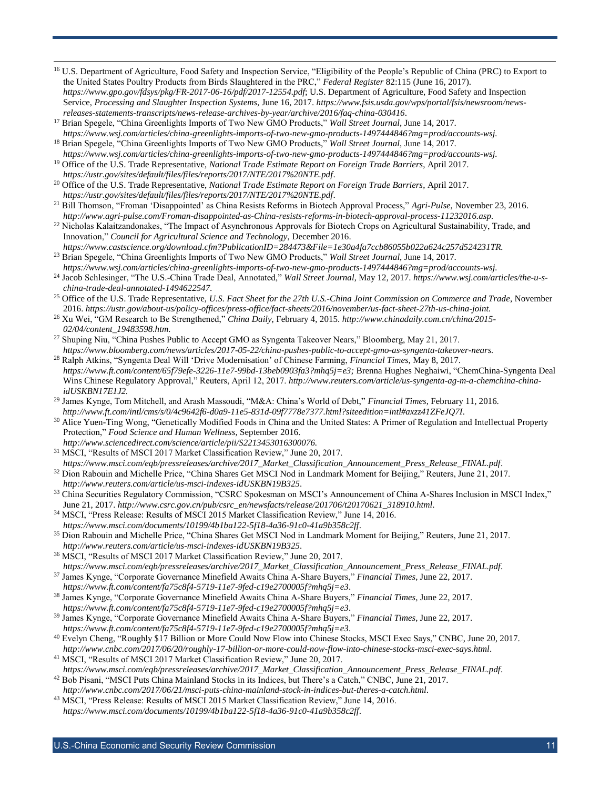- <sup>16</sup> U.S. Department of Agriculture, Food Safety and Inspection Service, "Eligibility of the People's Republic of China (PRC) to Export to the United States Poultry Products from Birds Slaughtered in the PRC," *Federal Register* 82:115 (June 16, 2017). *<https://www.gpo.gov/fdsys/pkg/FR-2017-06-16/pdf/2017-12554.pdf>*; U.S. Department of Agriculture, Food Safety and Inspection Service, *Processing and Slaughter Inspection Systems*, June 16, 2017. *[https://www.fsis.usda.gov/wps/portal/fsis/newsroom/news](https://www.fsis.usda.gov/wps/portal/fsis/newsroom/news-releases-statements-transcripts/news-release-archives-by-year/archive/2016/faq-china-030416)[releases-statements-transcripts/news-release-archives-by-year/archive/2016/faq-china-030416](https://www.fsis.usda.gov/wps/portal/fsis/newsroom/news-releases-statements-transcripts/news-release-archives-by-year/archive/2016/faq-china-030416)*.
- <sup>17</sup> Brian Spegele, "China Greenlights Imports of Two New GMO Products," *Wall Street Journal*, June 14, 2017. *https://www.wsj.com/articles/china-greenlights-imports-of-two-new-gmo-products-1497444846?mg=prod/accounts-wsj.*
- <sup>18</sup> Brian Spegele, "China Greenlights Imports of Two New GMO Products," *Wall Street Journal*, June 14, 2017. *https://www.wsj.com/articles/china-greenlights-imports-of-two-new-gmo-products-1497444846?mg=prod/accounts-wsj.*
- <sup>19</sup> Office of the U.S. Trade Representative, *National Trade Estimate Report on Foreign Trade Barriers*, April 2017. *https://ustr.gov/sites/default/files/files/reports/2017/NTE/2017%20NTE.pdf*.
- <sup>20</sup> Office of the U.S. Trade Representative, *National Trade Estimate Report on Foreign Trade Barriers*, April 2017. *https://ustr.gov/sites/default/files/files/reports/2017/NTE/2017%20NTE.pdf*.
- <sup>21</sup> Bill Thomson, "Froman 'Disappointed' as China Resists Reforms in Biotech Approval Process," *Agri-Pulse*, November 23, 2016. *http://www.agri-pulse.com/Froman-disappointed-as-China-resists-reforms-in-biotech-approval-process-11232016.asp.*
- <sup>22</sup> Nicholas Kalaitzandonakes, "The Impact of Asynchronous Approvals for Biotech Crops on Agricultural Sustainability, Trade, and Innovation," *Council for Agricultural Science and Technology*, December 2016.
- *https://www.castscience.org/download.cfm?PublicationID=284473&File=1e30a4fa7ccb86055b022a624c257d524231TR.* <sup>23</sup> Brian Spegele, "China Greenlights Imports of Two New GMO Products," *Wall Street Journal*, June 14, 2017.
- *https://www.wsj.com/articles/china-greenlights-imports-of-two-new-gmo-products-1497444846?mg=prod/accounts-wsj.* <sup>24</sup> Jacob Schlesinger, "The U.S.-China Trade Deal, Annotated," *Wall Street Journal*, May 12, 2017. *https://www.wsj.com/articles/the-u-schina-trade-deal-annotated-1494622547.*
- <sup>25</sup> Office of the U.S. Trade Representative, *U.S. Fact Sheet for the 27th U.S.-China Joint Commission on Commerce and Trade*, November 2016. *https://ustr.gov/about-us/policy-offices/press-office/fact-sheets/2016/november/us-fact-sheet-27th-us-china-joint.*
- <sup>26</sup> Xu Wei, "GM Research to Be Strengthened," *China Daily*, February 4, 2015. *http://www.chinadaily.com.cn/china/2015- 02/04/content\_19483598.htm.*
- <sup>27</sup> Shuping Niu, "China Pushes Public to Accept GMO as Syngenta Takeover Nears," Bloomberg, May 21, 2017. *https://www.bloomberg.com/news/articles/2017-05-22/china-pushes-public-to-accept-gmo-as-syngenta-takeover-nears.*
- <sup>28</sup> Ralph Atkins, "Syngenta Deal Will 'Drive Modernisation' of Chinese Farming, *Financial Times*, May 8, 2017. *[https://www.ft.com/content/65f79efe-3226-11e7-99bd-13beb0903fa3?mhq5j=e3;](https://www.ft.com/content/65f79efe-3226-11e7-99bd-13beb0903fa3?mhq5j=e3)* Brenna Hughes Neghaiwi, "ChemChina-Syngenta Deal Wins Chinese Regulatory Approval," Reuters, April 12, 2017. *http://www.reuters.com/article/us-syngenta-ag-m-a-chemchina-chinaidUSKBN17E1J2.*
- <sup>29</sup> James Kynge, Tom Mitchell, and Arash Massoudi, "M&A: China's World of Debt," *Financial Times*, February 11, 2016. *<http://www.ft.com/intl/cms/s/0/4c9642f6-d0a9-11e5-831d-09f7778e7377.html?siteedition=intl#axzz41ZFeJQ7I>*.
- <sup>30</sup> Alice Yuen-Ting Wong, "Genetically Modified Foods in China and the United States: A Primer of Regulation and Intellectual Property Protection," *[Food Science and Human Wellness](http://www.sciencedirect.com/science/journal/22134530)*, September 2016. *http://www.sciencedirect.com/science/article/pii/S2213453016300076.*
- <sup>31</sup> MSCI, "Results of MSCI 2017 Market Classification Review," June 20, 2017.

- *[https://www.msci.com/eqb/pressreleases/archive/2017\\_Market\\_Classification\\_Announcement\\_Press\\_Release\\_FINAL.pdf](https://www.msci.com/eqb/pressreleases/archive/2017_Market_Classification_Announcement_Press_Release_FINAL.pdf)*. <sup>32</sup> Dion Rabouin and Michelle Price, "China Shares Get MSCI Nod in Landmark Moment for Beijing," Reuters, June 21, 2017. *<http://www.reuters.com/article/us-msci-indexes-idUSKBN19B325>*.
- <sup>33</sup> China Securities Regulatory Commission, "CSRC Spokesman on MSCI's Announcement of China A-Shares Inclusion in MSCI Index," June 21, 2017. *[http://www.csrc.gov.cn/pub/csrc\\_en/newsfacts/release/201706/t20170621\\_318910.html](http://www.csrc.gov.cn/pub/csrc_en/newsfacts/release/201706/t20170621_318910.html)*.
- <sup>34</sup> MSCI, "Press Release: Results of MSCI 2015 Market Classification Review," June 14, 2016. *<https://www.msci.com/documents/10199/4b1ba122-5f18-4a36-91c0-41a9b358c2ff>*.
- <sup>35</sup> Dion Rabouin and Michelle Price, "China Shares Get MSCI Nod in Landmark Moment for Beijing," Reuters, June 21, 2017. *<http://www.reuters.com/article/us-msci-indexes-idUSKBN19B325>*.
- <sup>36</sup> MSCI, "Results of MSCI 2017 Market Classification Review," June 20, 2017. *[https://www.msci.com/eqb/pressreleases/archive/2017\\_Market\\_Classification\\_Announcement\\_Press\\_Release\\_FINAL.pdf](https://www.msci.com/eqb/pressreleases/archive/2017_Market_Classification_Announcement_Press_Release_FINAL.pdf)*.
- <sup>37</sup> James Kynge, "Corporate Governance Minefield Awaits China A-Share Buyers," *Financial Times*, June 22, 2017. *<https://www.ft.com/content/fa75c8f4-5719-11e7-9fed-c19e2700005f?mhq5j=e3>*.
- <sup>38</sup> James Kynge, "Corporate Governance Minefield Awaits China A-Share Buyers," *Financial Times*, June 22, 2017. *<https://www.ft.com/content/fa75c8f4-5719-11e7-9fed-c19e2700005f?mhq5j=e3>*.
- <sup>39</sup> James Kynge, "Corporate Governance Minefield Awaits China A-Share Buyers," *Financial Times*, June 22, 2017.
- *<https://www.ft.com/content/fa75c8f4-5719-11e7-9fed-c19e2700005f?mhq5j=e3>*. <sup>40</sup> Evelyn Cheng, "Roughly \$17 Billion or More Could Now Flow into Chinese Stocks, MSCI Exec Says," CNBC, June 20, 2017.
- *<http://www.cnbc.com/2017/06/20/roughly-17-billion-or-more-could-now-flow-into-chinese-stocks-msci-exec-says.html>*.
- <sup>41</sup> MSCI, "Results of MSCI 2017 Market Classification Review," June 20, 2017. *[https://www.msci.com/eqb/pressreleases/archive/2017\\_Market\\_Classification\\_Announcement\\_Press\\_Release\\_FINAL.pdf](https://www.msci.com/eqb/pressreleases/archive/2017_Market_Classification_Announcement_Press_Release_FINAL.pdf)*.
- <sup>42</sup> Bob Pisani, "MSCI Puts China Mainland Stocks in its Indices, but There's a Catch," CNBC, June 21, 2017. *<http://www.cnbc.com/2017/06/21/msci-puts-china-mainland-stock-in-indices-but-theres-a-catch.html>*.
- <sup>43</sup> MSCI, "Press Release: Results of MSCI 2015 Market Classification Review," June 14, 2016. *<https://www.msci.com/documents/10199/4b1ba122-5f18-4a36-91c0-41a9b358c2ff>*.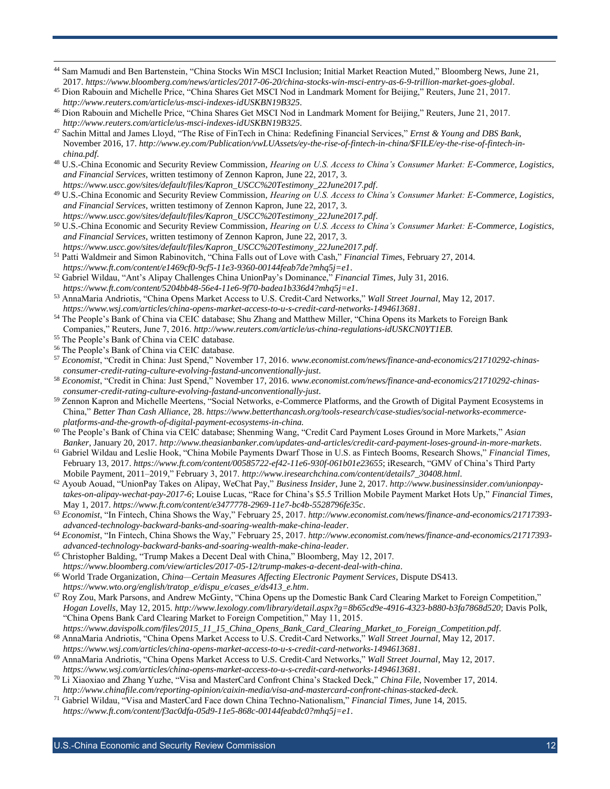- <sup>44</sup> Sam Mamudi and Ben Bartenstein, "China Stocks Win MSCI Inclusion; Initial Market Reaction Muted," Bloomberg News, June 21, 2017. *<https://www.bloomberg.com/news/articles/2017-06-20/china-stocks-win-msci-entry-as-6-9-trillion-market-goes-global>*.
- <sup>45</sup> Dion Rabouin and Michelle Price, "China Shares Get MSCI Nod in Landmark Moment for Beijing," Reuters, June 21, 2017. *<http://www.reuters.com/article/us-msci-indexes-idUSKBN19B325>*.
- <sup>46</sup> Dion Rabouin and Michelle Price, "China Shares Get MSCI Nod in Landmark Moment for Beijing," Reuters, June 21, 2017. *<http://www.reuters.com/article/us-msci-indexes-idUSKBN19B325>*.
- <sup>47</sup> Sachin Mittal and James Lloyd, "The Rise of FinTech in China: Redefining Financial Services," *Ernst & Young and DBS Bank*, November 2016, 17. *[http://www.ey.com/Publication/vwLUAssets/ey-the-rise-of-fintech-in-china/\\$FILE/ey-the-rise-of-fintech-in](http://www.ey.com/Publication/vwLUAssets/ey-the-rise-of-fintech-in-china/$FILE/ey-the-rise-of-fintech-in-china.pdf)[china.pdf](http://www.ey.com/Publication/vwLUAssets/ey-the-rise-of-fintech-in-china/$FILE/ey-the-rise-of-fintech-in-china.pdf)*.
- <sup>48</sup> U.S.-China Economic and Security Review Commission, *Hearing on U.S. Access to China's Consumer Market: E-Commerce, Logistics, and Financial Services*, written testimony of Zennon Kapron, June 22, 2017, 3.
- *[https://www.uscc.gov/sites/default/files/Kapron\\_USCC%20Testimony\\_22June2017.pdf](https://www.uscc.gov/sites/default/files/Kapron_USCC%20Testimony_22June2017.pdf)*. <sup>49</sup> U.S.-China Economic and Security Review Commission, *Hearing on U.S. Access to China's Consumer Market: E-Commerce, Logistics, and Financial Services*, written testimony of Zennon Kapron, June 22, 2017, 3. *[https://www.uscc.gov/sites/default/files/Kapron\\_USCC%20Testimony\\_22June2017.pdf](https://www.uscc.gov/sites/default/files/Kapron_USCC%20Testimony_22June2017.pdf)*.
- <sup>50</sup> U.S.-China Economic and Security Review Commission, *Hearing on U.S. Access to China's Consumer Market: E-Commerce, Logistics, and Financial Services*, written testimony of Zennon Kapron, June 22, 2017, 3.
- *[https://www.uscc.gov/sites/default/files/Kapron\\_USCC%20Testimony\\_22June2017.pdf](https://www.uscc.gov/sites/default/files/Kapron_USCC%20Testimony_22June2017.pdf)*. <sup>51</sup> Patti Waldmeir and Simon Rabinovitch, "China Falls out of Love with Cash," *Financial Time*s, February 27, 2014. *<https://www.ft.com/content/e1469cf0-9cf5-11e3-9360-00144feab7de?mhq5j=e1>*.
- <sup>52</sup> Gabriel Wildau, "Ant's Alipay Challenges China UnionPay's Dominance," *Financial Times*, July 31, 2016. *<https://www.ft.com/content/5204bb48-56e4-11e6-9f70-badea1b336d4?mhq5j=e1>*.
- <sup>53</sup> AnnaMaria Andriotis, "China Opens Market Access to U.S. Credit-Card Networks," *Wall Street Journal*, May 12, 2017. *<https://www.wsj.com/articles/china-opens-market-access-to-u-s-credit-card-networks-1494613681>*.
- <sup>54</sup> The People's Bank of China via CEIC database; Shu Zhang and Matthew Miller, "China Opens its Markets to Foreign Bank Companies," Reuters, June 7, 2016. *<http://www.reuters.com/article/us-china-regulations-idUSKCN0YT1EB>*.
- <sup>55</sup> The People's Bank of China via CEIC database.

- <sup>56</sup> The People's Bank of China via CEIC database.
- <sup>57</sup> *Economist*, "Credit in China: Just Spend," November 17, 2016. *[www.economist.com/news/finance-and-economics/21710292-chinas](http://www.economist.com/news/finance-and-economics/21710292-chinas-consumer-credit-rating-culture-evolving-fastand-unconventionally-just)[consumer-credit-rating-culture-evolving-fastand-unconventionally-just](http://www.economist.com/news/finance-and-economics/21710292-chinas-consumer-credit-rating-culture-evolving-fastand-unconventionally-just)*.
- <sup>58</sup> *Economist*, "Credit in China: Just Spend," November 17, 2016. *[www.economist.com/news/finance-and-economics/21710292-chinas](http://www.economist.com/news/finance-and-economics/21710292-chinas-consumer-credit-rating-culture-evolving-fastand-unconventionally-just)[consumer-credit-rating-culture-evolving-fastand-unconventionally-just](http://www.economist.com/news/finance-and-economics/21710292-chinas-consumer-credit-rating-culture-evolving-fastand-unconventionally-just)*.
- <sup>59</sup> Zennon Kapron and Michelle Meertens, "Social Networks, e-Commerce Platforms, and the Growth of Digital Payment Ecosystems in China," *Better Than Cash Alliance*, 28. *https://www.betterthancash.org/tools-research/case-studies/social-networks-ecommerceplatforms-and-the-growth-of-digital-payment-ecosystems-in-china.*
- <sup>60</sup> The People's Bank of China via CEIC database; Shenming Wang, "Credit Card Payment Loses Ground in More Markets," *Asian Banker*, January 20, 2017. *<http://www.theasianbanker.com/updates-and-articles/credit-card-payment-loses-ground-in-more-markets>*.
- <sup>61</sup> Gabriel Wildau and Leslie Hook, "China Mobile Payments Dwarf Those in U.S. as Fintech Booms, Research Shows," *Financial Times*, February 13, 2017. *<https://www.ft.com/content/00585722-ef42-11e6-930f-061b01e23655>*; iResearch, "GMV of China's Third Party Mobile Payment, 2011–2019," February 3, 2017. *[http://www.iresearchchina.com/content/details7\\_30408.html](http://www.iresearchchina.com/content/details7_30408.html)*.
- <sup>62</sup> Ayoub Aouad, "UnionPay Takes on Alipay, WeChat Pay," *Business Insider*, June 2, 2017. *[http://www.businessinsider.com/unionpay](http://www.businessinsider.com/unionpay-takes-on-alipay-wechat-pay-2017-6)[takes-on-alipay-wechat-pay-2017-6](http://www.businessinsider.com/unionpay-takes-on-alipay-wechat-pay-2017-6)*; Louise Lucas, "Race for China's \$5.5 Trillion Mobile Payment Market Hots Up," *Financial Times*, May 1, 2017. *<https://www.ft.com/content/e3477778-2969-11e7-bc4b-5528796fe35c>*.
- <sup>63</sup> *Economist*, "In Fintech, China Shows the Way," February 25, 2017. *[http://www.economist.com/news/finance-and-economics/21717393](http://www.economist.com/news/finance-and-economics/21717393-advanced-technology-backward-banks-and-soaring-wealth-make-china-leader) [advanced-technology-backward-banks-and-soaring-wealth-make-china-leader](http://www.economist.com/news/finance-and-economics/21717393-advanced-technology-backward-banks-and-soaring-wealth-make-china-leader)*.
- <sup>64</sup> *Economist*, "In Fintech, China Shows the Way," February 25, 2017. *[http://www.economist.com/news/finance-and-economics/21717393](http://www.economist.com/news/finance-and-economics/21717393-advanced-technology-backward-banks-and-soaring-wealth-make-china-leader) [advanced-technology-backward-banks-and-soaring-wealth-make-china-leader](http://www.economist.com/news/finance-and-economics/21717393-advanced-technology-backward-banks-and-soaring-wealth-make-china-leader)*.
- <sup>65</sup> Christopher Balding, "Trump Makes a Decent Deal with China," Bloomberg, May 12, 2017. *<https://www.bloomberg.com/view/articles/2017-05-12/trump-makes-a-decent-deal-with-china>*.
- <sup>66</sup> World Trade Organization, *China—Certain Measures Affecting Electronic Payment Services*, Dispute DS413. *[https://www.wto.org/english/tratop\\_e/dispu\\_e/cases\\_e/ds413\\_e.htm](https://www.wto.org/english/tratop_e/dispu_e/cases_e/ds413_e.htm)*.
- <sup>67</sup> Roy Zou, Mark Parsons, and Andrew McGinty, "China Opens up the Domestic Bank Card Clearing Market to Foreign Competition," *Hogan Lovells*, May 12, 2015. *<http://www.lexology.com/library/detail.aspx?g=8b65cd9e-4916-4323-b880-b3fa7868d520>*; Davis Polk, "China Opens Bank Card Clearing Market to Foreign Competition," May 11, 2015.
- *[https://www.davispolk.com/files/2015\\_11\\_15\\_China\\_Opens\\_Bank\\_Card\\_Clearing\\_Market\\_to\\_Foreign\\_Competition.pdf](https://www.davispolk.com/files/2015_11_15_China_Opens_Bank_Card_Clearing_Market_to_Foreign_Competition.pdf)*. <sup>68</sup> AnnaMaria Andriotis, "China Opens Market Access to U.S. Credit-Card Networks," *Wall Street Journal*, May 12, 2017.
- *<https://www.wsj.com/articles/china-opens-market-access-to-u-s-credit-card-networks-1494613681>*. <sup>69</sup> AnnaMaria Andriotis, "China Opens Market Access to U.S. Credit-Card Networks," *Wall Street Journal*, May 12, 2017. *<https://www.wsj.com/articles/china-opens-market-access-to-u-s-credit-card-networks-1494613681>*.
- <sup>70</sup> Li Xiaoxiao and Zhang Yuzhe, "Visa and MasterCard Confront China's Stacked Deck," *China File*, November 17, 2014. *<http://www.chinafile.com/reporting-opinion/caixin-media/visa-and-mastercard-confront-chinas-stacked-deck>*.
- <sup>71</sup> Gabriel Wildau, "Visa and MasterCard Face down China Techno-Nationalism," *Financial Times*, June 14, 2015. *<https://www.ft.com/content/f3ac0dfa-05d9-11e5-868c-00144feabdc0?mhq5j=e1>*.